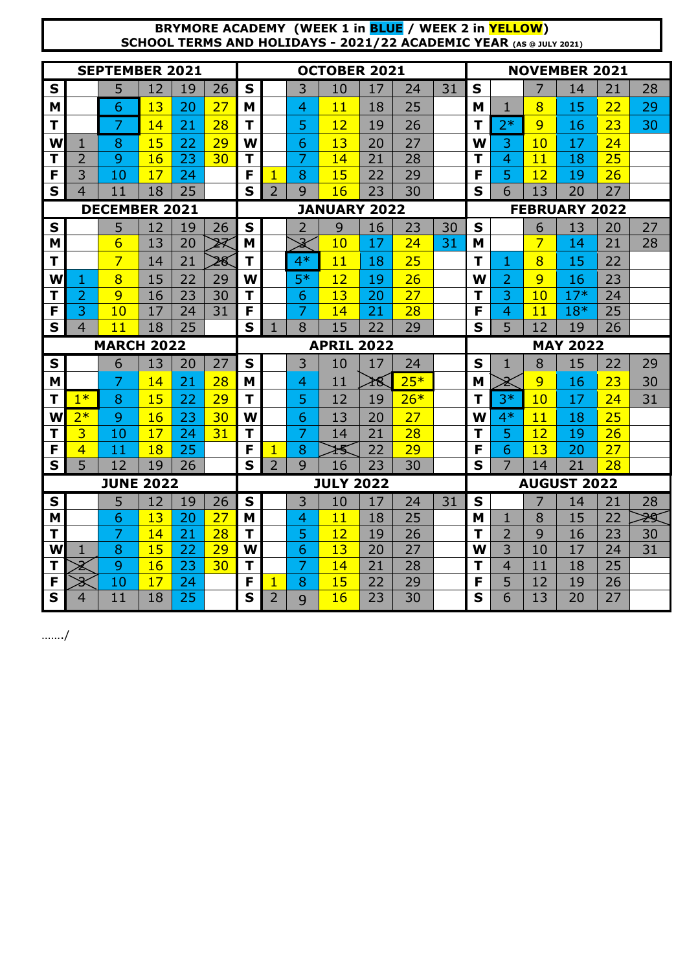## **BRYMORE ACADEMY (WEEK 1 in BLUE / WEEK 2 in YELLOW) SCHOOL TERMS AND HOLIDAYS - 2021/22 ACADEMIC YEAR (AS @ JULY 2021)**

| <b>SEPTEMBER 2021</b> |                              |                   |          |          | <b>OCTOBER 2021</b> |                   |                                  |                |                  |          | <b>NOVEMBER 2021</b> |                      |             |                |          |                    |                 |    |
|-----------------------|------------------------------|-------------------|----------|----------|---------------------|-------------------|----------------------------------|----------------|------------------|----------|----------------------|----------------------|-------------|----------------|----------|--------------------|-----------------|----|
| $\mathbf S$           |                              | 5                 | 12       | 19       | 26                  | S                 |                                  | 3              | 10               | 17       | 24                   | 31                   | $\mathbf S$ |                | 7        | 14                 | 21              | 28 |
| M                     |                              | 6                 | 13       | 20       | 27                  | M                 |                                  | 4              | 11               | 18       | 25                   |                      | M           | 1              | 8        | 15                 | 22              | 29 |
| $\mathbf T$           |                              | 7                 | 14       | 21       | 28                  | T                 |                                  | 5              | 12               | 19       | 26                   |                      | т           | $2*$           | 9        | 16                 | 23              | 30 |
| W                     | 1                            | 8                 | 15       | 22       | 29                  | W                 |                                  | 6              | 13               | 20       | 27                   |                      | W           | 3              | 10       | 17                 | 24              |    |
| Т                     | $\overline{2}$               | 9                 | 16       | 23       | 30                  | T                 |                                  | 7              | 14               | 21       | 28                   |                      | T           | 4              | 11       | 18                 | 25              |    |
| F                     | 3                            | 10                | 17       | 24       |                     | F                 | 1                                | 8              | 15               | 22       | 29                   |                      | F           | 5              | 12       | 19                 | 26              |    |
| S                     | $\overline{4}$               | 11                | 18       | 25       |                     | S                 | $\overline{2}$                   | $\mathbf Q$    | 16               | 23       | 30                   |                      | S           | 6              | 13       | 20                 | 27              |    |
|                       | <b>DECEMBER 2021</b>         |                   |          |          | <b>JANUARY 2022</b> |                   |                                  |                |                  |          |                      | <b>FEBRUARY 2022</b> |             |                |          |                    |                 |    |
| S                     |                              | 5                 | 12       | 19       | 26                  | S                 |                                  | $\overline{2}$ | 9                | 16       | 23                   | 30                   | S           |                | 6        | 13                 | 20              | 27 |
| M                     |                              | 6                 | 13       | 20       | ॠ                   | M                 |                                  | ð              | 10               | 17       | 24                   | 31                   | M           |                | 7        | 14                 | 21              | 28 |
| T                     |                              | 7                 | 14       | 21       | 28                  | т                 |                                  | $4*$           | 11               | 18       | 25                   |                      | т           | 1              | 8        | 15                 | 22              |    |
| W                     | 1                            | 8                 | 15       | 22       | 29                  | W                 |                                  | $5*$           | 12               | 19       | 26                   |                      | W           | 2              | 9        | 16                 | 23              |    |
| T                     | $\overline{2}$               | 9                 | 16       | 23       | 30                  | T                 |                                  | 6              | 13               | 20       | 27                   |                      | Т           | 3              | 10       | $17*$              | 24              |    |
| F                     | 3                            | 10                | 17       | 24       | 31                  | F                 |                                  | 7              | 14               | 21       | 28                   |                      | F           | 4              | 11       | $18*$              | 25              |    |
| S                     | 4                            | 11                | 18       | 25       |                     | S                 | 1                                | 8              | 15               | 22       | 29                   |                      | S           | 5              | 12       | 19                 | 26              |    |
|                       |                              |                   |          |          |                     | <b>APRIL 2022</b> |                                  |                |                  |          |                      | <b>MAY 2022</b>      |             |                |          |                    |                 |    |
|                       |                              | <b>MARCH 2022</b> |          |          |                     |                   |                                  |                |                  |          |                      |                      |             |                |          |                    |                 |    |
| $\mathbf S$           |                              | 6                 | 13       | 20       | 27                  | S                 |                                  | 3              | 10               | 17       | 24                   |                      | S           | 1              | 8        | 15                 | 22              | 29 |
| M                     |                              | 7                 | 14       | 21       | 28                  | M                 |                                  | 4              | 11               | ≩∕§      | $25*$                |                      | M           | Ż              | 9        | 16                 | 23              | 30 |
| Т                     | $1*$                         | 8                 | 15       | 22       | 29                  | T                 |                                  | 5              | 12               | 19       | $26*$                |                      | Т           | $3*$           | 10       | 17                 | $\overline{24}$ | 31 |
| W                     | $2*$                         | 9                 | 16       | 23       | 30                  | W                 |                                  | 6              | 13               | 20       | 27                   |                      | W           | $4*$           | 11       | 18                 | 25              |    |
| $\mathbf T$           | 3                            | 10                | 17       | 24       | 31                  | T                 |                                  | 7              | 14               | 21       | 28                   |                      | T           | 5              | 12       | 19                 | 26              |    |
| F                     | 4                            | 11                | 18       | 25       |                     | F                 | 1                                | 8              | łŚ               | 22       | 29                   |                      | F           | 6              | 13       | 20                 | 27              |    |
| S                     | 5                            | 12                | 19       | 26       |                     | S                 | $\overline{2}$                   | $\mathbf Q$    | 16               | 23       | 30                   |                      | S           | 7              | 14       | $\overline{21}$    | 28              |    |
|                       |                              | <b>JUNE 2022</b>  |          |          |                     |                   |                                  |                | <b>JULY 2022</b> |          |                      |                      |             |                |          | <b>AUGUST 2022</b> |                 |    |
| $\mathbf S$           |                              | 5                 | 12       | 19       | 26                  | S                 |                                  | 3              | 10               | 17       | 24                   | 31                   | S           |                | 7        | 14                 | 21              | 28 |
| M                     |                              | 6                 | 13       | 20       | 27                  | M                 |                                  | 4              | 11               | 18       | 25                   |                      | M           | 1              | 8        | 15                 | 22              | 29 |
| т                     |                              | 7                 | 14       | 21       | 28                  | Т                 |                                  | 5              | 12               | 19       | 26                   |                      | т           | $\overline{2}$ | 9        | 16                 | 23              | 30 |
| W                     | 1                            | 8                 | 15       | 22       | 29                  | W                 |                                  | 6              | 13               | 20       | 27                   |                      | W           | 3              | 10       | 17                 | 24              | 31 |
| T                     | 2                            | 9                 | 16       | 23       | 30                  | T                 |                                  | 7              | 14               | 21       | 28                   |                      | т           | 4              | 11       | 18                 | 25              |    |
| F<br>S                | $\overline{\mathbf{3}}$<br>4 | 10<br>11          | 17<br>18 | 24<br>25 |                     | F<br>S            | $\overline{1}$<br>$\overline{2}$ | 8<br>q         | 15<br>16         | 22<br>23 | 29<br>30             |                      | F<br>S      | 5<br>6         | 12<br>13 | 19<br>20           | 26<br>27        |    |

……./